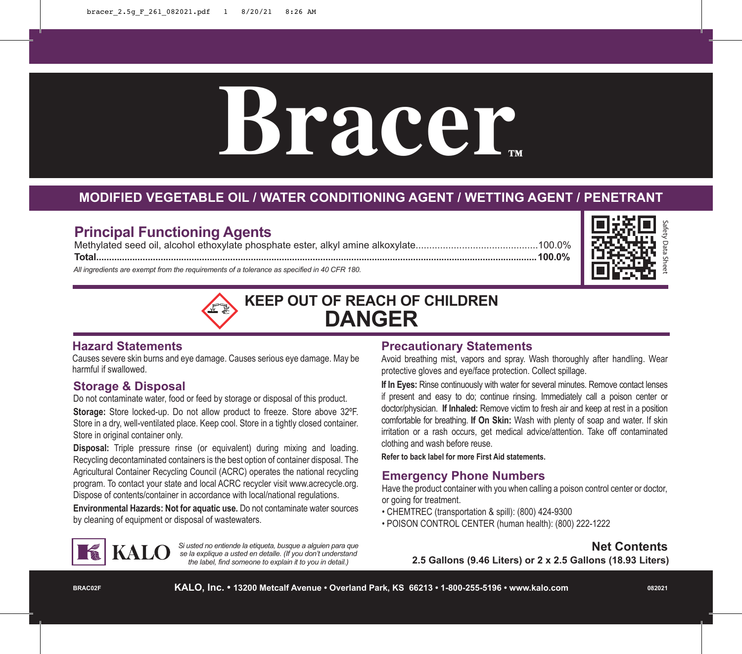# **Bracer**

# **MODIFIED VEGETABLE OIL / WATER CONDITIONING AGENT / WETTING AGENT / PENETRANT**

# **Principal Functioning Agents**

Methylated seed oil, alcohol ethoxylate phosphate ester, alkyl amine alkoxylate.............................................100.0% **Total...........................................................................................................................................................................100.0%**

*All ingredients are exempt from the requirements of a tolerance as specified in 40 CFR 180.*





#### **Hazard Statements**

Causes severe skin burns and eye damage. Causes serious eye damage. May be harmful if swallowed.

#### **Storage & Disposal**

Do not contaminate water, food or feed by storage or disposal of this product. **Storage:** Store locked-up. Do not allow product to freeze. Store above 32ºF. Store in a dry, well-ventilated place. Keep cool. Store in a tightly closed container. Store in original container only.

**Disposal:** Triple pressure rinse (or equivalent) during mixing and loading. Recycling decontaminated containers is the best option of container disposal. The Agricultural Container Recycling Council (ACRC) operates the national recycling program. To contact your state and local ACRC recycler visit www.acrecycle.org. Dispose of contents/container in accordance with local/national regulations.

**Environmental Hazards: Not for aquatic use.** Do not contaminate water sources by cleaning of equipment or disposal of wastewaters.

#### **Precautionary Statements**

Avoid breathing mist, vapors and spray. Wash thoroughly after handling. Wear protective gloves and eye/face protection. Collect spillage.

**If In Eyes:** Rinse continuously with water for several minutes. Remove contact lenses if present and easy to do; continue rinsing. Immediately call a poison center or doctor/physician. **If Inhaled:** Remove victim to fresh air and keep at rest in a position comfortable for breathing. **If On Skin:** Wash with plenty of soap and water. If skin irritation or a rash occurs, get medical advice/attention. Take off contaminated clothing and wash before reuse.

**Refer to back label for more First Aid statements.**

## **Emergency Phone Numbers**

Have the product container with you when calling a poison control center or doctor, or going for treatment.

- CHEMTREC (transportation & spill): (800) 424-9300
- POISON CONTROL CENTER (human health): (800) 222-1222



*Si usted no entiende la etiqueta, busque a alguien para que se la explique a usted en detalle. (If you don't understand the label, find someone to explain it to you in detail.)*

**Net Contents**

**2.5 Gallons (9.46 Liters) or 2 x 2.5 Gallons (18.93 Liters)**

**BRAC02F**

**082021**